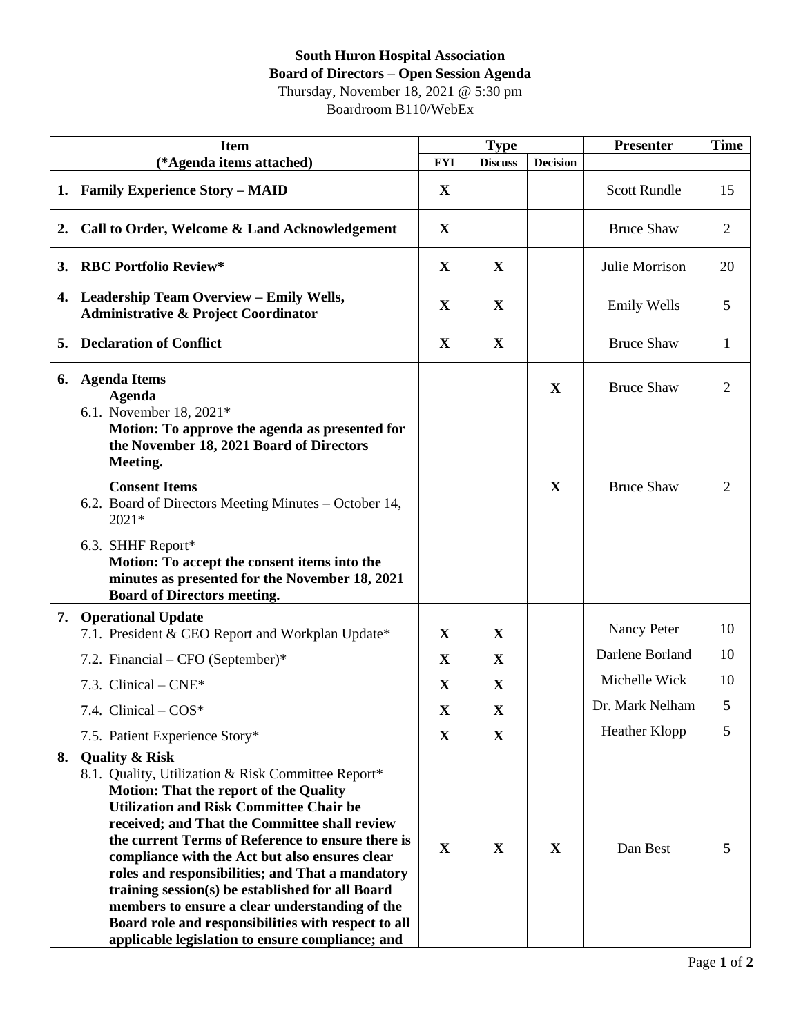## **South Huron Hospital Association Board of Directors – Open Session Agenda** Thursday, November 18, 2021 @ 5:30 pm

Boardroom B110/WebEx

| <b>Item</b> |                                                                                                                                                                                                                                                                                                                                                                                                                                                                                                                                                                                    | <b>Type</b> |                | <b>Presenter</b> | <b>Time</b>         |    |
|-------------|------------------------------------------------------------------------------------------------------------------------------------------------------------------------------------------------------------------------------------------------------------------------------------------------------------------------------------------------------------------------------------------------------------------------------------------------------------------------------------------------------------------------------------------------------------------------------------|-------------|----------------|------------------|---------------------|----|
|             | (*Agenda items attached)                                                                                                                                                                                                                                                                                                                                                                                                                                                                                                                                                           | <b>FYI</b>  | <b>Discuss</b> | <b>Decision</b>  |                     |    |
|             | 1. Family Experience Story - MAID                                                                                                                                                                                                                                                                                                                                                                                                                                                                                                                                                  | X           |                |                  | <b>Scott Rundle</b> | 15 |
| 2.          | Call to Order, Welcome & Land Acknowledgement                                                                                                                                                                                                                                                                                                                                                                                                                                                                                                                                      |             |                |                  | <b>Bruce Shaw</b>   | 2  |
| 3.          | <b>RBC Portfolio Review*</b>                                                                                                                                                                                                                                                                                                                                                                                                                                                                                                                                                       | X           | X              |                  | Julie Morrison      | 20 |
|             | 4. Leadership Team Overview - Emily Wells,<br><b>Administrative &amp; Project Coordinator</b>                                                                                                                                                                                                                                                                                                                                                                                                                                                                                      | X           | X              |                  | <b>Emily Wells</b>  | 5  |
|             | <b>Declaration of Conflict</b><br>5.                                                                                                                                                                                                                                                                                                                                                                                                                                                                                                                                               |             | $\mathbf X$    |                  | <b>Bruce Shaw</b>   | 1  |
| 6.          | <b>Agenda Items</b><br><b>Agenda</b><br>6.1. November 18, 2021*<br>Motion: To approve the agenda as presented for<br>the November 18, 2021 Board of Directors<br>Meeting.                                                                                                                                                                                                                                                                                                                                                                                                          |             |                | X                | <b>Bruce Shaw</b>   | 2  |
|             | <b>Consent Items</b><br>6.2. Board of Directors Meeting Minutes – October 14,<br>$2021*$                                                                                                                                                                                                                                                                                                                                                                                                                                                                                           |             |                | X                | <b>Bruce Shaw</b>   | 2  |
|             | 6.3. SHHF Report*<br>Motion: To accept the consent items into the<br>minutes as presented for the November 18, 2021<br><b>Board of Directors meeting.</b>                                                                                                                                                                                                                                                                                                                                                                                                                          |             |                |                  |                     |    |
| 7.          | <b>Operational Update</b>                                                                                                                                                                                                                                                                                                                                                                                                                                                                                                                                                          |             |                |                  |                     |    |
|             | 7.1. President & CEO Report and Workplan Update*                                                                                                                                                                                                                                                                                                                                                                                                                                                                                                                                   | X           | X              |                  | Nancy Peter         | 10 |
|             | 7.2. Financial – CFO (September)*                                                                                                                                                                                                                                                                                                                                                                                                                                                                                                                                                  | $\mathbf X$ | X              |                  | Darlene Borland     | 10 |
|             | 7.3. Clinical $-CNE^*$                                                                                                                                                                                                                                                                                                                                                                                                                                                                                                                                                             | $\mathbf X$ | $\mathbf X$    |                  | Michelle Wick       | 10 |
|             | 7.4. Clinical $-COS^*$                                                                                                                                                                                                                                                                                                                                                                                                                                                                                                                                                             | $\mathbf X$ | $\mathbf X$    |                  | Dr. Mark Nelham     | 5  |
|             | 7.5. Patient Experience Story*                                                                                                                                                                                                                                                                                                                                                                                                                                                                                                                                                     | $\mathbf X$ | X              |                  | Heather Klopp       | 5  |
| 8.          | <b>Quality &amp; Risk</b>                                                                                                                                                                                                                                                                                                                                                                                                                                                                                                                                                          |             |                |                  |                     |    |
|             | 8.1. Quality, Utilization & Risk Committee Report*<br><b>Motion: That the report of the Quality</b><br><b>Utilization and Risk Committee Chair be</b><br>received; and That the Committee shall review<br>the current Terms of Reference to ensure there is<br>compliance with the Act but also ensures clear<br>roles and responsibilities; and That a mandatory<br>training session(s) be established for all Board<br>members to ensure a clear understanding of the<br>Board role and responsibilities with respect to all<br>applicable legislation to ensure compliance; and | $\mathbf X$ | $\mathbf X$    | $\mathbf X$      | Dan Best            | 5  |